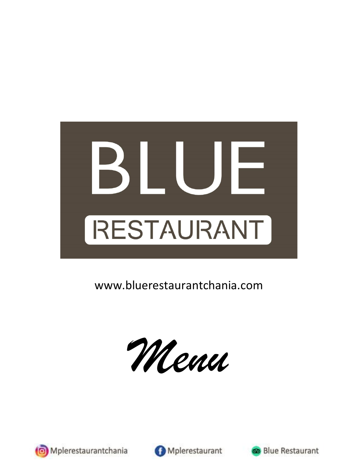

www.bluerestaurantchania.com

*Menu*





Mplerestaurant



**Blue Restaurant**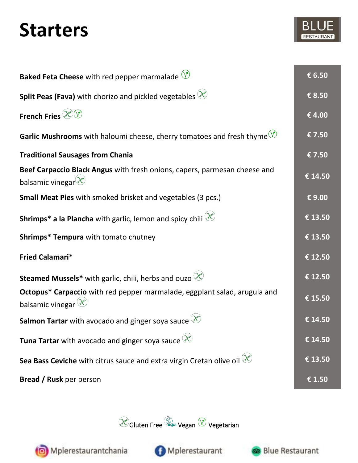#### **Starters**

| <b>Baked Feta Cheese</b> with red pepper marmalade $\heartsuit$                                             | € 6.50  |
|-------------------------------------------------------------------------------------------------------------|---------|
| <b>Split Peas (Fava)</b> with chorizo and pickled vegetables $\mathcal{X}$                                  | € 8.50  |
| French Fries $\bigotimes \bigotimes$                                                                        | €4.00   |
| <b>Garlic Mushrooms</b> with haloumi cheese, cherry tomatoes and fresh thyme $\sqrt{\frac{1}{n}}$           | €7.50   |
| <b>Traditional Sausages from Chania</b>                                                                     | €7.50   |
| Beef Carpaccio Black Angus with fresh onions, capers, parmesan cheese and<br>balsamic vinegar $\mathscr{X}$ | € 14.50 |
| <b>Small Meat Pies</b> with smoked brisket and vegetables (3 pcs.)                                          | €9.00   |
| <b>Shrimps* a la Plancha</b> with garlic, lemon and spicy chili $\mathcal{X}$                               | € 13.50 |
| Shrimps* Tempura with tomato chutney                                                                        | € 13.50 |
| Fried Calamari*                                                                                             | € 12.50 |
| <b>Steamed Mussels*</b> with garlic, chili, herbs and ouzo $\mathcal{X}$                                    | € 12.50 |
| Octopus* Carpaccio with red pepper marmalade, eggplant salad, arugula and<br>balsamic vinegar $\mathbb{X}$  | € 15.50 |
| <b>Salmon Tartar</b> with avocado and ginger soya sauce $\mathcal{X}$                                       | € 14.50 |
| <b>Tuna Tartar</b> with avocado and ginger soya sauce $\mathcal{X}$                                         | € 14.50 |
| Sea Bass Ceviche with citrus sauce and extra virgin Cretan olive oil $\gg$                                  | € 13.50 |
| <b>Bread / Rusk</b> per person                                                                              | € 1.50  |





Mplerestaurantchania



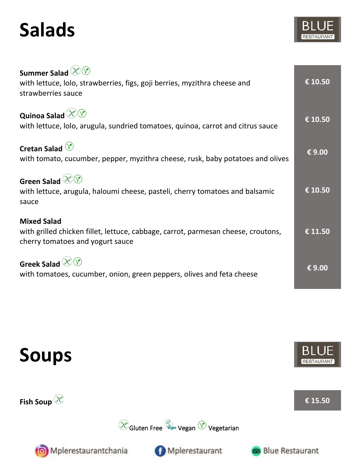## **Salads**

| Summer Salad $\mathscr{X}\!\!\mathscr{V}$<br>with lettuce, lolo, strawberries, figs, goji berries, myzithra cheese and<br>strawberries sauce | € 10.50 |
|----------------------------------------------------------------------------------------------------------------------------------------------|---------|
| <b>Quinoa Salad <math>\Diamond</math> V</b><br>with lettuce, lolo, arugula, sundried tomatoes, quinoa, carrot and citrus sauce               | € 10.50 |
| Cretan Salad $\circledV$<br>with tomato, cucumber, pepper, myzithra cheese, rusk, baby potatoes and olives                                   | €9.00   |
| Green Salad $\otimes \heartsuit$<br>with lettuce, arugula, haloumi cheese, pasteli, cherry tomatoes and balsamic<br>sauce                    | € 10.50 |
| <b>Mixed Salad</b><br>with grilled chicken fillet, lettuce, cabbage, carrot, parmesan cheese, croutons,<br>cherry tomatoes and yogurt sauce  |         |
| Greek Salad $\mathbb{X}$<br>with tomatoes, cucumber, onion, green peppers, olives and feta cheese                                            | €9.00   |

Gluten Free Vegan (V Vegetarian

Mplerestaurant





Fish Soup  $\mathscr{X}$  **E** 15.50

**Blue Restaurant** 



Mplerestaurantchania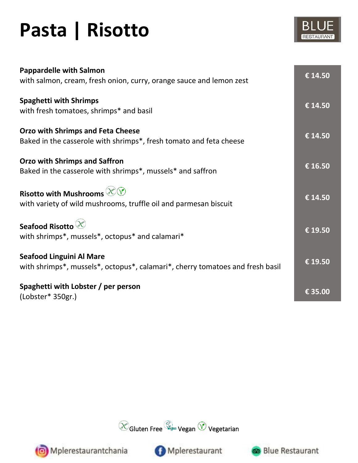# **Pasta | Risotto**

| <b>Pappardelle with Salmon</b><br>with salmon, cream, fresh onion, curry, orange sauce and lemon zest            | € 14.50 |
|------------------------------------------------------------------------------------------------------------------|---------|
| <b>Spaghetti with Shrimps</b><br>with fresh tomatoes, shrimps* and basil                                         | € 14.50 |
| <b>Orzo with Shrimps and Feta Cheese</b><br>Baked in the casserole with shrimps*, fresh tomato and feta cheese   | € 14.50 |
| <b>Orzo with Shrimps and Saffron</b><br>Baked in the casserole with shrimps*, mussels* and saffron               | € 16.50 |
| Risotto with Mushrooms $\otimes \heartsuit$<br>with variety of wild mushrooms, truffle oil and parmesan biscuit  | € 14.50 |
| Seafood Risotto $\mathscr{X}$<br>with shrimps*, mussels*, octopus* and calamari*                                 | € 19.50 |
| <b>Seafood Linguini Al Mare</b><br>with shrimps*, mussels*, octopus*, calamari*, cherry tomatoes and fresh basil | € 19.50 |
| Spaghetti with Lobster / per person<br>(Lobster* 350gr.)                                                         | € 35.00 |



Mplerestaurant

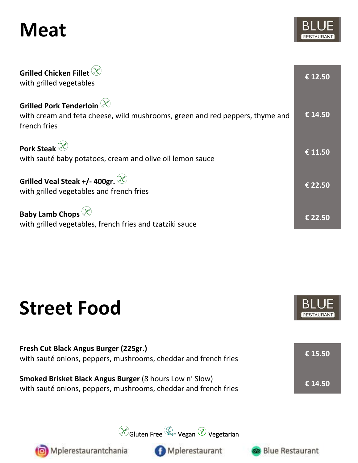### **Meat**

| Grilled Chicken Fillet $\mathscr C$<br>with grilled vegetables                                                                       | € 12.50 |
|--------------------------------------------------------------------------------------------------------------------------------------|---------|
| Grilled Pork Tenderloin $\mathscr X$<br>with cream and feta cheese, wild mushrooms, green and red peppers, thyme and<br>french fries | € 14.50 |
| Pork Steak $\mathscr{X}$<br>with sauté baby potatoes, cream and olive oil lemon sauce                                                | € 11.50 |
| Grilled Veal Steak +/- 400gr. $\otimes$<br>with grilled vegetables and french fries                                                  |         |
| <b>Baby Lamb Chops</b><br>with grilled vegetables, french fries and tzatziki sauce                                                   | € 22.50 |

#### **Street Food**



| Fresh Cut Black Angus Burger (225gr.)<br>with sauté onions, peppers, mushrooms, cheddar and french fries                   | € 15.50 |
|----------------------------------------------------------------------------------------------------------------------------|---------|
| Smoked Brisket Black Angus Burger (8 hours Low n' Slow)<br>with sauté onions, peppers, mushrooms, cheddar and french fries | € 14.50 |

Gluten Free Vegan Vegan VV Vegetarian



Mplerestaurantchania

Mplerestaurant

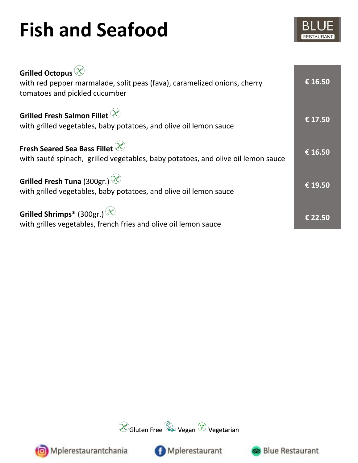# **Fish and Seafood**

| Grilled Octopus <sup>(X)</sup><br>with red pepper marmalade, split peas (fava), caramelized onions, cherry<br>tomatoes and pickled cucumber | € 16.50 |
|---------------------------------------------------------------------------------------------------------------------------------------------|---------|
| Grilled Fresh Salmon Fillet $\mathscr X$<br>with grilled vegetables, baby potatoes, and olive oil lemon sauce                               | € 17.50 |
| Fresh Seared Sea Bass Fillet $\mathscr X$<br>with sauté spinach, grilled vegetables, baby potatoes, and olive oil lemon sauce               | € 16.50 |
| Grilled Fresh Tuna (300gr.) $\otimes$<br>with grilled vegetables, baby potatoes, and olive oil lemon sauce                                  | € 19.50 |
| Grilled Shrimps* (300gr.) $\circledR$<br>with grilles vegetables, french fries and olive oil lemon sauce                                    | € 22.50 |







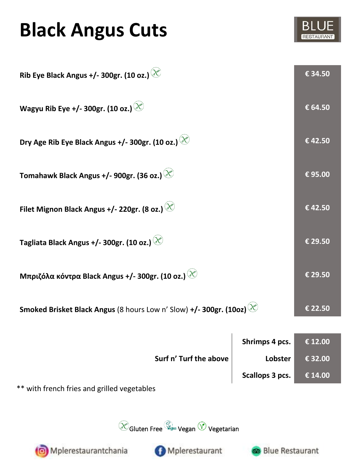## **Black Angus Cuts**



| Rib Eye Black Angus +/- 300gr. (10 oz.) $\circledast$                                   | € 34.50 |
|-----------------------------------------------------------------------------------------|---------|
| Wagyu Rib Eye +/- 300gr. (10 oz.) $\Diamond$                                            | € 64.50 |
| Dry Age Rib Eye Black Angus +/- 300gr. (10 oz.) $\gg$                                   | €42.50  |
| Tomahawk Black Angus +/- 900gr. (36 oz.) $\Diamond$                                     | €95.00  |
| Filet Mignon Black Angus +/- 220gr. (8 oz.)                                             | €42.50  |
| Tagliata Black Angus +/- 300gr. (10 oz.) $\circledast$                                  | € 29.50 |
| Μπριζόλα κόντρα Black Angus +/- 300gr. (10 oz.) $\gg$                                   | € 29.50 |
| <b>Smoked Brisket Black Angus</b> (8 hours Low n' Slow) +/- 300gr. (10oz) $\mathcal{X}$ | € 22.50 |

|                        | Shrimps 4 pcs.  | $\in$ 12.00 |
|------------------------|-----------------|-------------|
| Surf n' Turf the above | Lobster         | € 32.00     |
|                        | Scallops 3 pcs. | € 14.00     |

\*\* with french fries and grilled vegetables

 $\bigotimes$ Gluten Free  $\bigotimes^{\!\!\!\!\!\!\!\!\!\!\!}$ egan  $\bigotimes$  Vegetarian



Mplerestaurant



 $\overline{1}$